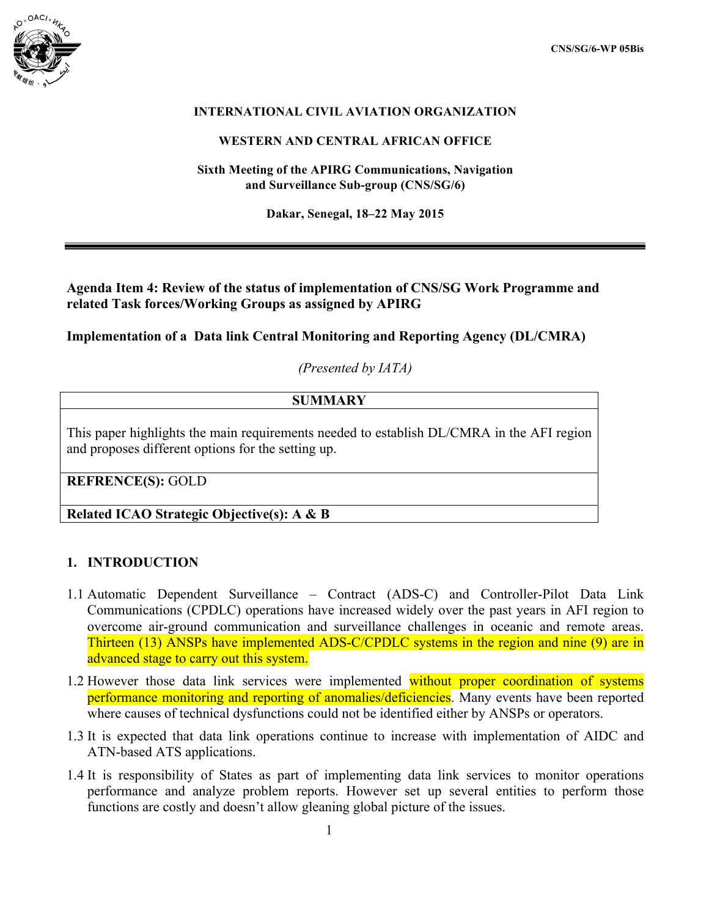

## **INTERNATIONAL CIVIL AVIATION ORGANIZATION**

#### **WESTERN AND CENTRAL AFRICAN OFFICE**

**Sixth Meeting of the APIRG Communications, Navigation and Surveillance Sub-group (CNS/SG/6)**

**Dakar, Senegal, 18–22 May 2015**

**Agenda Item 4: Review of the status of implementation of CNS/SG Work Programme and related Task forces/Working Groups as assigned by APIRG** 

**Implementation of a Data link Central Monitoring and Reporting Agency (DL/CMRA)**

*(Presented by IATA)*

## **SUMMARY**

This paper highlights the main requirements needed to establish DL/CMRA in the AFI region and proposes different options for the setting up.

**REFRENCE(S):** GOLD

**Related ICAO Strategic Objective(s): A & B**

#### **1. INTRODUCTION**

- 1.1 Automatic Dependent Surveillance Contract (ADS-C) and Controller-Pilot Data Link Communications (CPDLC) operations have increased widely over the past years in AFI region to overcome air-ground communication and surveillance challenges in oceanic and remote areas. Thirteen (13) ANSPs have implemented ADS-C/CPDLC systems in the region and nine (9) are in advanced stage to carry out this system.
- 1.2 However those data link services were implemented without proper coordination of systems performance monitoring and reporting of anomalies/deficiencies. Many events have been reported where causes of technical dysfunctions could not be identified either by ANSPs or operators.
- 1.3 It is expected that data link operations continue to increase with implementation of AIDC and ATN-based ATS applications.
- 1.4 It is responsibility of States as part of implementing data link services to monitor operations performance and analyze problem reports. However set up several entities to perform those functions are costly and doesn't allow gleaning global picture of the issues.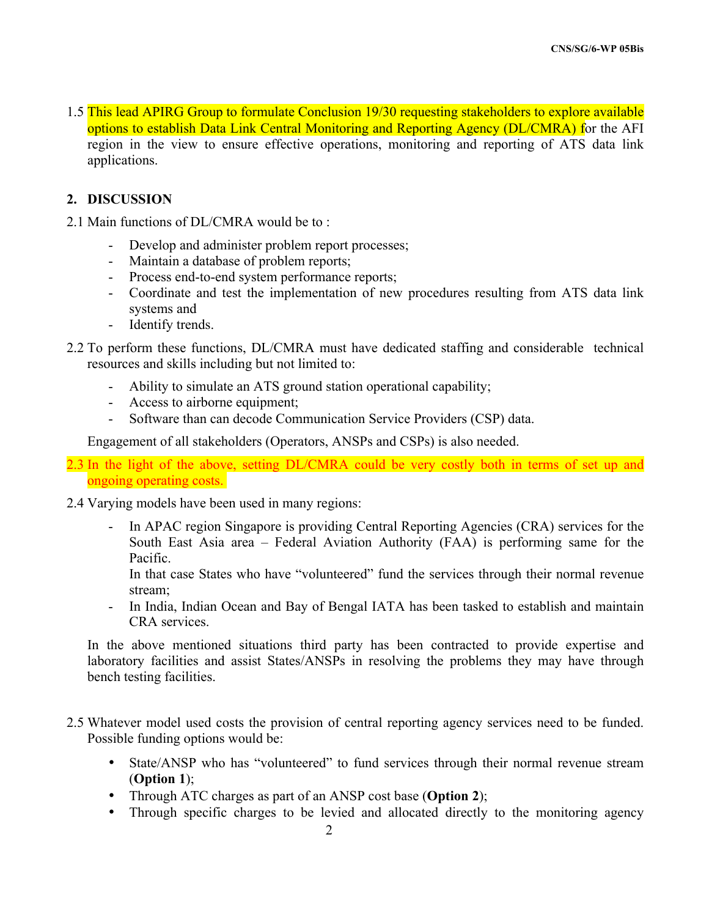1.5 This lead APIRG Group to formulate Conclusion 19/30 requesting stakeholders to explore available options to establish Data Link Central Monitoring and Reporting Agency (DL/CMRA) for the AFI region in the view to ensure effective operations, monitoring and reporting of ATS data link applications.

### **2. DISCUSSION**

- 2.1 Main functions of DL/CMRA would be to :
	- Develop and administer problem report processes;
	- Maintain a database of problem reports;
	- Process end-to-end system performance reports;
	- Coordinate and test the implementation of new procedures resulting from ATS data link systems and
	- Identify trends.
- 2.2 To perform these functions, DL/CMRA must have dedicated staffing and considerable technical resources and skills including but not limited to:
	- Ability to simulate an ATS ground station operational capability;
	- Access to airborne equipment;
	- Software than can decode Communication Service Providers (CSP) data.

Engagement of all stakeholders (Operators, ANSPs and CSPs) is also needed.

- 2.3 In the light of the above, setting DL/CMRA could be very costly both in terms of set up and ongoing operating costs.
- 2.4 Varying models have been used in many regions:
	- In APAC region Singapore is providing Central Reporting Agencies (CRA) services for the South East Asia area – Federal Aviation Authority (FAA) is performing same for the Pacific.

In that case States who have "volunteered" fund the services through their normal revenue stream;

- In India, Indian Ocean and Bay of Bengal IATA has been tasked to establish and maintain CRA services.

In the above mentioned situations third party has been contracted to provide expertise and laboratory facilities and assist States/ANSPs in resolving the problems they may have through bench testing facilities.

- 2.5 Whatever model used costs the provision of central reporting agency services need to be funded. Possible funding options would be:
	- State/ANSP who has "volunteered" to fund services through their normal revenue stream (**Option 1**);
	- Through ATC charges as part of an ANSP cost base (**Option 2**);
	- Through specific charges to be levied and allocated directly to the monitoring agency